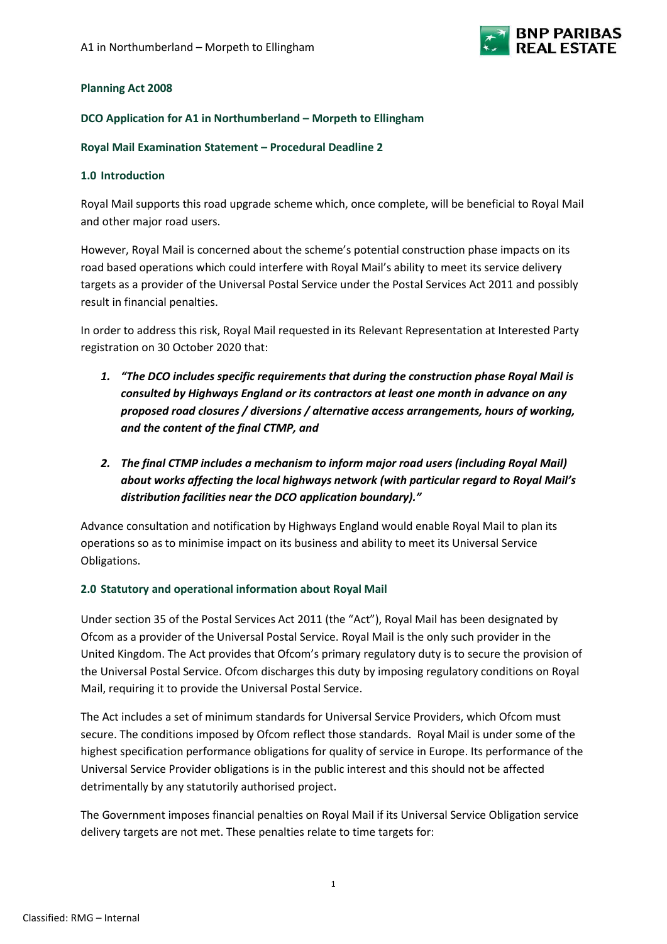

## **Planning Act 2008**

#### **DCO Application for A1 in Northumberland – Morpeth to Ellingham**

#### **Royal Mail Examination Statement – Procedural Deadline 2**

#### **1.0 Introduction**

Royal Mail supports this road upgrade scheme which, once complete, will be beneficial to Royal Mail and other major road users.

However, Royal Mail is concerned about the scheme's potential construction phase impacts on its road based operations which could interfere with Royal Mail's ability to meet its service delivery targets as a provider of the Universal Postal Service under the Postal Services Act 2011 and possibly result in financial penalties.

In order to address this risk, Royal Mail requested in its Relevant Representation at Interested Party registration on 30 October 2020 that:

- *1. "The DCO includes specific requirements that during the construction phase Royal Mail is consulted by Highways England or its contractors at least one month in advance on any proposed road closures / diversions / alternative access arrangements, hours of working, and the content of the final CTMP, and*
- *2. The final CTMP includes a mechanism to inform major road users (including Royal Mail) about works affecting the local highways network (with particular regard to Royal Mail's distribution facilities near the DCO application boundary)."*

Advance consultation and notification by Highways England would enable Royal Mail to plan its operations so as to minimise impact on its business and ability to meet its Universal Service Obligations.

## **2.0 Statutory and operational information about Royal Mail**

Under section 35 of the Postal Services Act 2011 (the "Act"), Royal Mail has been designated by Ofcom as a provider of the Universal Postal Service. Royal Mail is the only such provider in the United Kingdom. The Act provides that Ofcom's primary regulatory duty is to secure the provision of the Universal Postal Service. Ofcom discharges this duty by imposing regulatory conditions on Royal Mail, requiring it to provide the Universal Postal Service.

The Act includes a set of minimum standards for Universal Service Providers, which Ofcom must secure. The conditions imposed by Ofcom reflect those standards. Royal Mail is under some of the highest specification performance obligations for quality of service in Europe. Its performance of the Universal Service Provider obligations is in the public interest and this should not be affected detrimentally by any statutorily authorised project.

The Government imposes financial penalties on Royal Mail if its Universal Service Obligation service delivery targets are not met. These penalties relate to time targets for: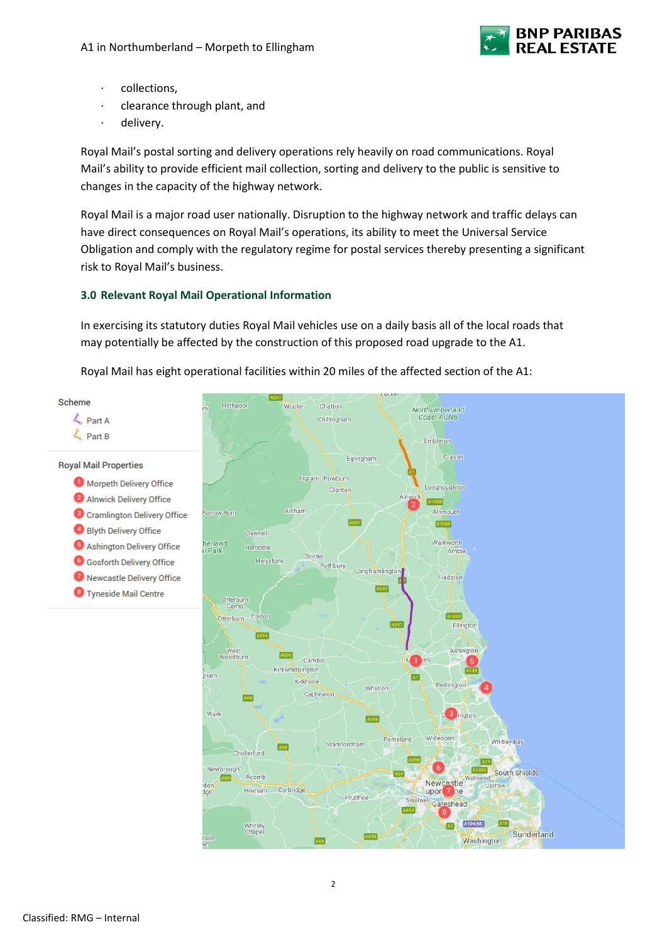

- · collections,
- · clearance through plant, and
- delivery.

Royal Mail's postal sorting and delivery operations rely heavily on road communications. Royal Mail's ability to provide efficient mail collection, sorting and delivery to the public is sensitive to changes in the capacity of the highway network.

Royal Mail is a major road user nationally. Disruption to the highway network and traffic delays can have direct consequences on Royal Mail's operations, its ability to meet the Universal Service Obligation and comply with the regulatory regime for postal services thereby presenting a significant risk to Royal Mail's business.

# **3.0 Relevant Royal Mail Operational Information**

In exercising its statutory duties Royal Mail vehicles use on a daily basis all of the local roads that may potentially be affected by the construction of this proposed road upgrade to the A1.

Royal Mail has eight operational facilities within 20 miles of the affected section of the A1:

Scheme

L Part A L Part B

**Royal Mail Properties** 

- Morpeth Delivery Office 2 Alnwick Delivery Office <sup>3</sup> Cramlington Delivery Office Blyth Delivery Office 5 Ashington Delivery Office **6** Gosforth Delivery Office 7 Newcastle Delivery Office
- <sup>3</sup> Tyneside Mail Centre

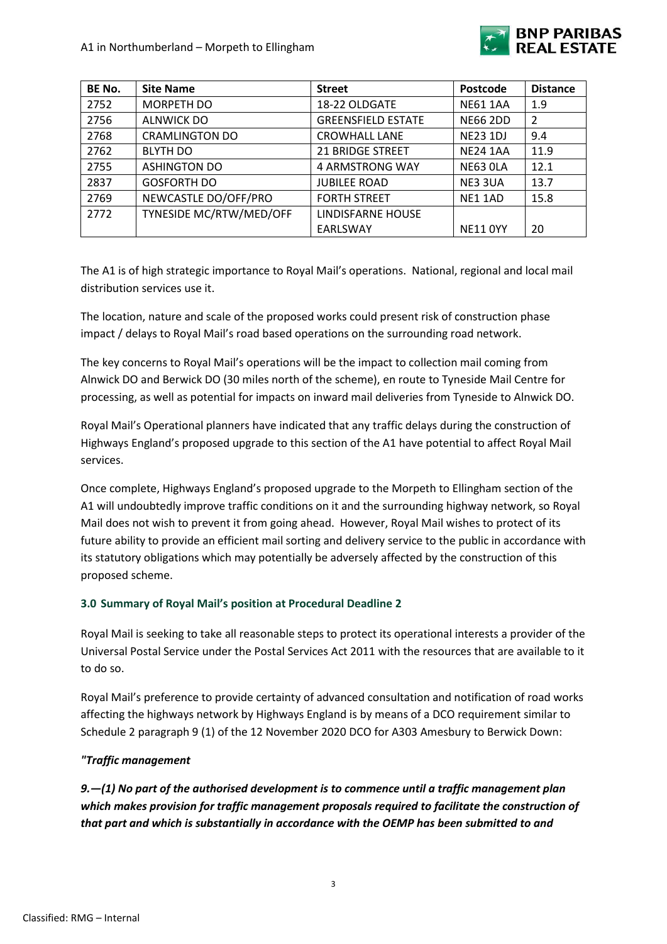

| BE No. | <b>Site Name</b>        | <b>Street</b>             | Postcode        | <b>Distance</b> |
|--------|-------------------------|---------------------------|-----------------|-----------------|
| 2752   | MORPETH DO              | 18-22 OLDGATE             | <b>NE61 1AA</b> | 1.9             |
| 2756   | <b>ALNWICK DO</b>       | <b>GREENSFIELD ESTATE</b> | <b>NE66 2DD</b> | 2               |
| 2768   | <b>CRAMLINGTON DO</b>   | <b>CROWHALL LANE</b>      | <b>NE23 1DJ</b> | 9.4             |
| 2762   | <b>BLYTH DO</b>         | <b>21 BRIDGE STREET</b>   | <b>NE24 1AA</b> | 11.9            |
| 2755   | <b>ASHINGTON DO</b>     | 4 ARMSTRONG WAY           | <b>NE63 OLA</b> | 12.1            |
| 2837   | <b>GOSFORTH DO</b>      | <b>JUBILEE ROAD</b>       | NE3 3UA         | 13.7            |
| 2769   | NEWCASTLE DO/OFF/PRO    | <b>FORTH STREET</b>       | NE1 1AD         | 15.8            |
| 2772   | TYNESIDE MC/RTW/MED/OFF | LINDISFARNE HOUSE         |                 |                 |
|        |                         | EARLSWAY                  | <b>NE11 0YY</b> | 20              |

The A1 is of high strategic importance to Royal Mail's operations. National, regional and local mail distribution services use it.

The location, nature and scale of the proposed works could present risk of construction phase impact / delays to Royal Mail's road based operations on the surrounding road network.

The key concerns to Royal Mail's operations will be the impact to collection mail coming from Alnwick DO and Berwick DO (30 miles north of the scheme), en route to Tyneside Mail Centre for processing, as well as potential for impacts on inward mail deliveries from Tyneside to Alnwick DO.

Royal Mail's Operational planners have indicated that any traffic delays during the construction of Highways England's proposed upgrade to this section of the A1 have potential to affect Royal Mail services.

Once complete, Highways England's proposed upgrade to the Morpeth to Ellingham section of the A1 will undoubtedly improve traffic conditions on it and the surrounding highway network, so Royal Mail does not wish to prevent it from going ahead. However, Royal Mail wishes to protect of its future ability to provide an efficient mail sorting and delivery service to the public in accordance with its statutory obligations which may potentially be adversely affected by the construction of this proposed scheme.

# **3.0 Summary of Royal Mail's position at Procedural Deadline 2**

Royal Mail is seeking to take all reasonable steps to protect its operational interests a provider of the Universal Postal Service under the Postal Services Act 2011 with the resources that are available to it to do so.

Royal Mail's preference to provide certainty of advanced consultation and notification of road works affecting the highways network by Highways England is by means of a DCO requirement similar to Schedule 2 paragraph 9 (1) of the 12 November 2020 DCO for A303 Amesbury to Berwick Down:

# *"Traffic management*

*9.—(1) No part of the authorised development is to commence until a traffic management plan which makes provision for traffic management proposals required to facilitate the construction of that part and which is substantially in accordance with the OEMP has been submitted to and*